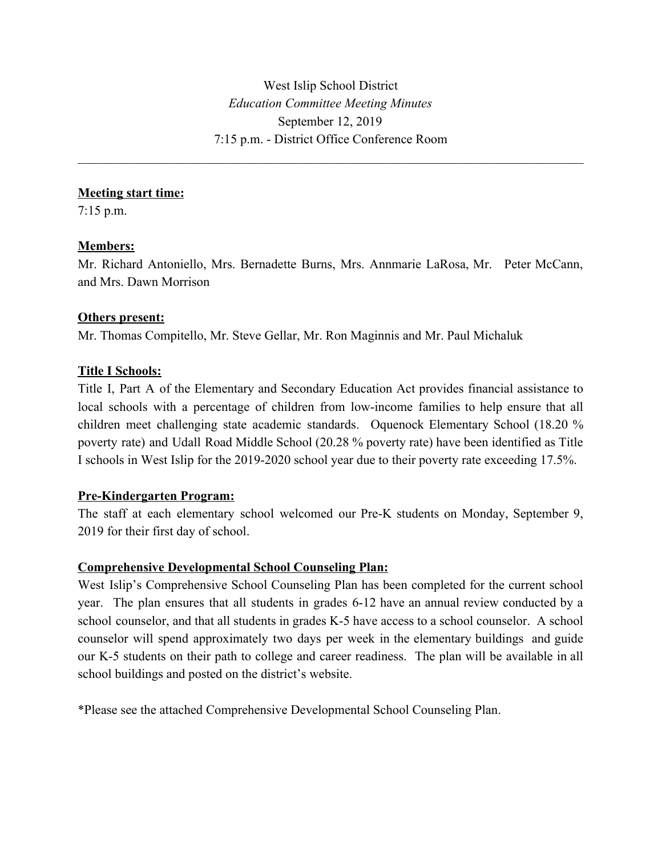West Islip School District *Education Committee Meeting Minutes* September 12, 2019 7:15 p.m. - District Office Conference Room

 $\mathcal{L}_\mathcal{L} = \{ \mathcal{L}_\mathcal{L} = \{ \mathcal{L}_\mathcal{L} = \{ \mathcal{L}_\mathcal{L} = \{ \mathcal{L}_\mathcal{L} = \{ \mathcal{L}_\mathcal{L} = \{ \mathcal{L}_\mathcal{L} = \{ \mathcal{L}_\mathcal{L} = \{ \mathcal{L}_\mathcal{L} = \{ \mathcal{L}_\mathcal{L} = \{ \mathcal{L}_\mathcal{L} = \{ \mathcal{L}_\mathcal{L} = \{ \mathcal{L}_\mathcal{L} = \{ \mathcal{L}_\mathcal{L} = \{ \mathcal{L}_\mathcal{$ 

### **Meeting start time:**

7:15 p.m.

## **Members:**

Mr. Richard Antoniello, Mrs. Bernadette Burns, Mrs. Annmarie LaRosa, Mr. Peter McCann, and Mrs. Dawn Morrison

## **Others present:**

Mr. Thomas Compitello, Mr. Steve Gellar, Mr. Ron Maginnis and Mr. Paul Michaluk

# **Title I Schools:**

Title I, Part A of the Elementary and Secondary Education Act provides financial assistance to local schools with a percentage of children from low-income families to help ensure that all children meet challenging state academic standards. Oquenock Elementary School (18.20 % poverty rate) and Udall Road Middle School (20.28 % poverty rate) have been identified as Title I schools in West Islip for the 2019-2020 school year due to their poverty rate exceeding 17.5%.

## **Pre-Kindergarten Program:**

The staff at each elementary school welcomed our Pre-K students on Monday, September 9, 2019 for their first day of school.

## **Comprehensive Developmental School Counseling Plan:**

West Islip's Comprehensive School Counseling Plan has been completed for the current school year. The plan ensures that all students in grades 6-12 have an annual review conducted by a school counselor, and that all students in grades K-5 have access to a school counselor. A school counselor will spend approximately two days per week in the elementary buildings and guide our K-5 students on their path to college and career readiness. The plan will be available in all school buildings and posted on the district's website.

\*Please see the attached Comprehensive Developmental School Counseling Plan.